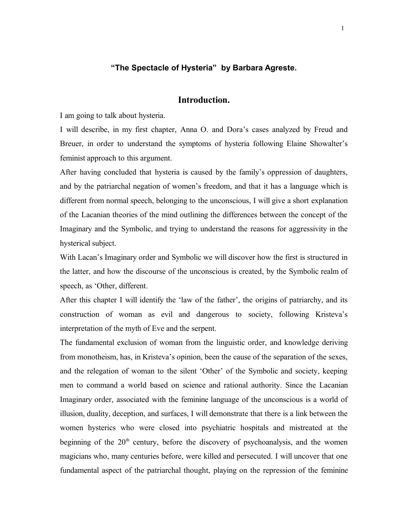# **"The Spectacle of Hysteria" by Barbara Agreste.**

# **Introduction.**

I am going to talk about hysteria.

I will describe, in my first chapter, Anna O. and Dora's cases analyzed by Freud and Breuer, in order to understand the symptoms of hysteria following Elaine Showalter's feminist approach to this argument.

After having concluded that hysteria is caused by the family's oppression of daughters, and by the patriarchal negation of women's freedom, and that it has a language which is different from normal speech, belonging to the unconscious, I will give a short explanation of the Lacanian theories of the mind outlining the differences between the concept of the Imaginary and the Symbolic, and trying to understand the reasons for aggressivity in the hysterical subject.

With Lacan's Imaginary order and Symbolic we will discover how the first is structured in the latter, and how the discourse of the unconscious is created, by the Symbolic realm of speech, as 'Other, different.

After this chapter I will identify the 'law of the father', the origins of patriarchy, and its construction of woman as evil and dangerous to society, following Kristeva's interpretation of the myth of Eve and the serpent.

The fundamental exclusion of woman from the linguistic order, and knowledge deriving from monotheism, has, in Kristeva's opinion, been the cause of the separation of the sexes, and the relegation of woman to the silent 'Other' of the Symbolic and society, keeping men to command a world based on science and rational authority. Since the Lacanian Imaginary order, associated with the feminine language of the unconscious is a world of illusion, duality, deception, and surfaces, I will demonstrate that there is a link between the women hysterics who were closed into psychiatric hospitals and mistreated at the beginning of the  $20<sup>th</sup>$  century, before the discovery of psychoanalysis, and the women magicians who, many centuries before, were killed and persecuted. I will uncover that one fundamental aspect of the patriarchal thought, playing on the repression of the feminine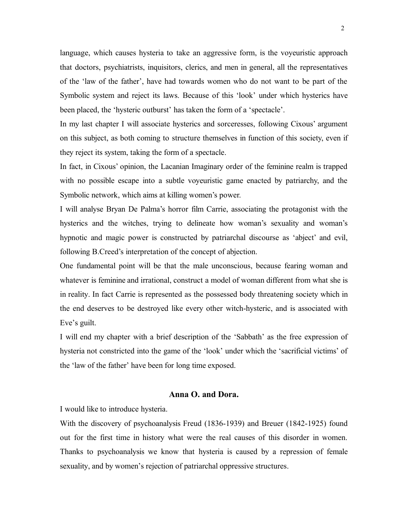language, which causes hysteria to take an aggressive form, is the voyeuristic approach that doctors, psychiatrists, inquisitors, clerics, and men in general, all the representatives of the 'law of the father', have had towards women who do not want to be part of the Symbolic system and reject its laws. Because of this 'look' under which hysterics have been placed, the 'hysteric outburst' has taken the form of a 'spectacle'.

In my last chapter I will associate hysterics and sorceresses, following Cixous' argument on this subject, as both coming to structure themselves in function of this society, even if they reject its system, taking the form of a spectacle.

In fact, in Cixous' opinion, the Lacanian Imaginary order of the feminine realm is trapped with no possible escape into a subtle voyeuristic game enacted by patriarchy, and the Symbolic network, which aims at killing women's power.

I will analyse Bryan De Palma's horror film Carrie, associating the protagonist with the hysterics and the witches, trying to delineate how woman's sexuality and woman's hypnotic and magic power is constructed by patriarchal discourse as 'abject' and evil, following B.Creed's interpretation of the concept of abjection.

One fundamental point will be that the male unconscious, because fearing woman and whatever is feminine and irrational, construct a model of woman different from what she is in reality. In fact Carrie is represented as the possessed body threatening society which in the end deserves to be destroyed like every other witch-hysteric, and is associated with Eve's guilt.

I will end my chapter with a brief description of the 'Sabbath' as the free expression of hysteria not constricted into the game of the 'look' under which the 'sacrificial victims' of the 'law of the father' have been for long time exposed.

## **Anna O. and Dora.**

I would like to introduce hysteria.

With the discovery of psychoanalysis Freud (1836-1939) and Breuer (1842-1925) found out for the first time in history what were the real causes of this disorder in women. Thanks to psychoanalysis we know that hysteria is caused by a repression of female sexuality, and by women's rejection of patriarchal oppressive structures.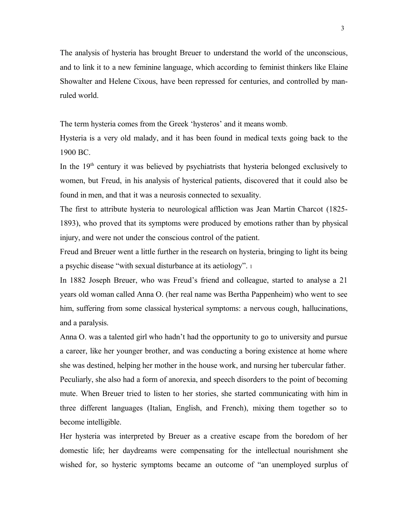The analysis of hysteria has brought Breuer to understand the world of the unconscious, and to link it to a new feminine language, which according to feminist thinkers like Elaine Showalter and Helene Cixous, have been repressed for centuries, and controlled by manruled world.

The term hysteria comes from the Greek 'hysteros' and it means womb.

Hysteria is a very old malady, and it has been found in medical texts going back to the 1900 BC.

In the  $19<sup>th</sup>$  century it was believed by psychiatrists that hysteria belonged exclusively to women, but Freud, in his analysis of hysterical patients, discovered that it could also be found in men, and that it was a neurosis connected to sexuality.

The first to attribute hysteria to neurological affliction was Jean Martin Charcot (1825- 1893), who proved that its symptoms were produced by emotions rather than by physical injury, and were not under the conscious control of the patient.

Freud and Breuer went a little further in the research on hysteria, bringing to light its being a psychic disease "with sexual disturbance at its aetiology". <sup>1</sup>

In 1882 Joseph Breuer, who was Freud's friend and colleague, started to analyse a 21 years old woman called Anna O. (her real name was Bertha Pappenheim) who went to see him, suffering from some classical hysterical symptoms: a nervous cough, hallucinations, and a paralysis.

Anna O. was a talented girl who hadn't had the opportunity to go to university and pursue a career, like her younger brother, and was conducting a boring existence at home where she was destined, helping her mother in the house work, and nursing her tubercular father. Peculiarly, she also had a form of anorexia, and speech disorders to the point of becoming mute. When Breuer tried to listen to her stories, she started communicating with him in three different languages (Italian, English, and French), mixing them together so to become intelligible.

Her hysteria was interpreted by Breuer as a creative escape from the boredom of her domestic life; her daydreams were compensating for the intellectual nourishment she wished for, so hysteric symptoms became an outcome of "an unemployed surplus of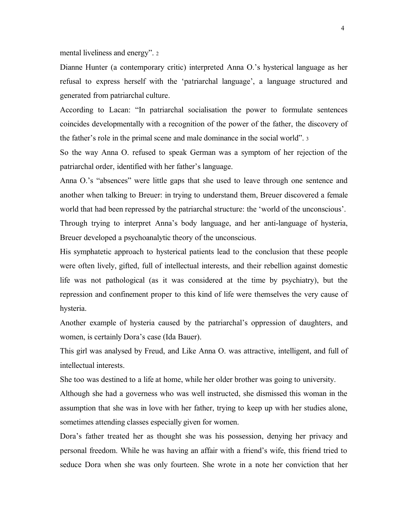mental liveliness and energy". <sup>2</sup>

Dianne Hunter (a contemporary critic) interpreted Anna O.'s hysterical language as her refusal to express herself with the 'patriarchal language', a language structured and generated from patriarchal culture.

According to Lacan: "In patriarchal socialisation the power to formulate sentences coincides developmentally with a recognition of the power of the father, the discovery of the father's role in the primal scene and male dominance in the social world". <sup>3</sup>

So the way Anna O. refused to speak German was a symptom of her rejection of the patriarchal order, identified with her father's language.

Anna O.'s "absences" were little gaps that she used to leave through one sentence and another when talking to Breuer: in trying to understand them, Breuer discovered a female world that had been repressed by the patriarchal structure: the 'world of the unconscious'.

Through trying to interpret Anna's body language, and her anti-language of hysteria, Breuer developed a psychoanalytic theory of the unconscious.

His symphatetic approach to hysterical patients lead to the conclusion that these people were often lively, gifted, full of intellectual interests, and their rebellion against domestic life was not pathological (as it was considered at the time by psychiatry), but the repression and confinement proper to this kind of life were themselves the very cause of hysteria.

Another example of hysteria caused by the patriarchal's oppression of daughters, and women, is certainly Dora's case (Ida Bauer).

This girl was analysed by Freud, and Like Anna O. was attractive, intelligent, and full of intellectual interests.

She too was destined to a life at home, while her older brother was going to university.

Although she had a governess who was well instructed, she dismissed this woman in the assumption that she was in love with her father, trying to keep up with her studies alone, sometimes attending classes especially given for women.

Dora's father treated her as thought she was his possession, denying her privacy and personal freedom. While he was having an affair with a friend's wife, this friend tried to seduce Dora when she was only fourteen. She wrote in a note her conviction that her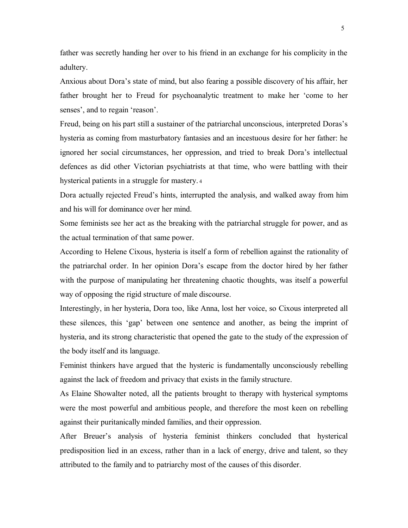father was secretly handing her over to his friend in an exchange for his complicity in the adultery.

Anxious about Dora's state of mind, but also fearing a possible discovery of his affair, her father brought her to Freud for psychoanalytic treatment to make her 'come to her senses', and to regain 'reason'.

Freud, being on his part still a sustainer of the patriarchal unconscious, interpreted Doras's hysteria as coming from masturbatory fantasies and an incestuous desire for her father: he ignored her social circumstances, her oppression, and tried to break Dora's intellectual defences as did other Victorian psychiatrists at that time, who were battling with their hysterical patients in a struggle for mastery. <sup>4</sup>

Dora actually rejected Freud's hints, interrupted the analysis, and walked away from him and his will for dominance over her mind.

Some feminists see her act as the breaking with the patriarchal struggle for power, and as the actual termination of that same power.

According to Helene Cixous, hysteria is itself a form of rebellion against the rationality of the patriarchal order. In her opinion Dora's escape from the doctor hired by her father with the purpose of manipulating her threatening chaotic thoughts, was itself a powerful way of opposing the rigid structure of male discourse.

Interestingly, in her hysteria, Dora too, like Anna, lost her voice, so Cixous interpreted all these silences, this 'gap' between one sentence and another, as being the imprint of hysteria, and its strong characteristic that opened the gate to the study of the expression of the body itself and its language.

Feminist thinkers have argued that the hysteric is fundamentally unconsciously rebelling against the lack of freedom and privacy that exists in the family structure.

As Elaine Showalter noted, all the patients brought to therapy with hysterical symptoms were the most powerful and ambitious people, and therefore the most keen on rebelling against their puritanically minded families, and their oppression.

After Breuer's analysis of hysteria feminist thinkers concluded that hysterical predisposition lied in an excess, rather than in a lack of energy, drive and talent, so they attributed to the family and to patriarchy most of the causes of this disorder.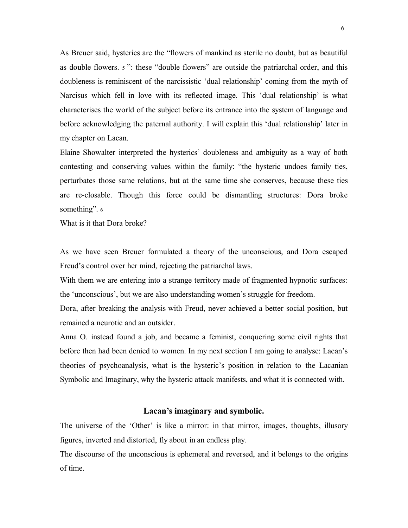As Breuer said, hysterics are the "flowers of mankind as sterile no doubt, but as beautiful as double flowers. <sup>5</sup> ": these "double flowers" are outside the patriarchal order, and this doubleness is reminiscent of the narcissistic 'dual relationship' coming from the myth of Narcisus which fell in love with its reflected image. This 'dual relationship' is what characterises the world of the subject before its entrance into the system of language and before acknowledging the paternal authority. I will explain this 'dual relationship' later in my chapter on Lacan.

Elaine Showalter interpreted the hysterics' doubleness and ambiguity as a way of both contesting and conserving values within the family: "the hysteric undoes family ties, perturbates those same relations, but at the same time she conserves, because these ties are re-closable. Though this force could be dismantling structures: Dora broke something". 6

What is it that Dora broke?

As we have seen Breuer formulated a theory of the unconscious, and Dora escaped Freud's control over her mind, rejecting the patriarchal laws.

With them we are entering into a strange territory made of fragmented hypnotic surfaces: the 'unconscious', but we are also understanding women's struggle for freedom.

Dora, after breaking the analysis with Freud, never achieved a better social position, but remained a neurotic and an outsider.

Anna O. instead found a job, and became a feminist, conquering some civil rights that before then had been denied to women. In my next section I am going to analyse: Lacan's theories of psychoanalysis, what is the hysteric's position in relation to the Lacanian Symbolic and Imaginary, why the hysteric attack manifests, and what it is connected with.

#### **Lacan's imaginary and symbolic.**

The universe of the 'Other' is like a mirror: in that mirror, images, thoughts, illusory figures, inverted and distorted, fly about in an endless play.

The discourse of the unconscious is ephemeral and reversed, and it belongs to the origins of time.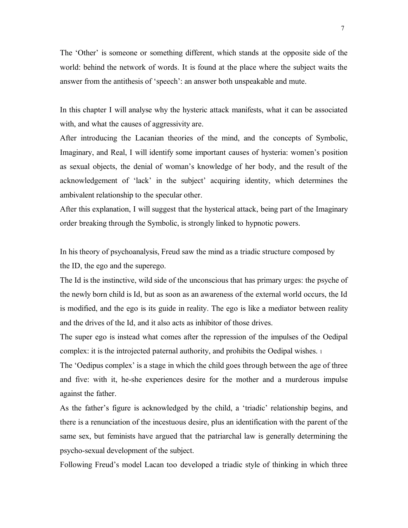The 'Other' is someone or something different, which stands at the opposite side of the world: behind the network of words. It is found at the place where the subject waits the answer from the antithesis of 'speech': an answer both unspeakable and mute.

In this chapter I will analyse why the hysteric attack manifests, what it can be associated with, and what the causes of aggressivity are.

After introducing the Lacanian theories of the mind, and the concepts of Symbolic, Imaginary, and Real, I will identify some important causes of hysteria: women's position as sexual objects, the denial of woman's knowledge of her body, and the result of the acknowledgement of 'lack' in the subject' acquiring identity, which determines the ambivalent relationship to the specular other.

After this explanation, I will suggest that the hysterical attack, being part of the Imaginary order breaking through the Symbolic, is strongly linked to hypnotic powers.

In his theory of psychoanalysis, Freud saw the mind as a triadic structure composed by the ID, the ego and the superego.

The Id is the instinctive, wild side of the unconscious that has primary urges: the psyche of the newly born child is Id, but as soon as an awareness of the external world occurs, the Id is modified, and the ego is its guide in reality. The ego is like a mediator between reality and the drives of the Id, and it also acts as inhibitor of those drives.

The super ego is instead what comes after the repression of the impulses of the Oedipal complex: it is the introjected paternal authority, and prohibits the Oedipal wishes. <sup>1</sup>

The 'Oedipus complex' is a stage in which the child goes through between the age of three and five: with it, he-she experiences desire for the mother and a murderous impulse against the father.

As the father's figure is acknowledged by the child, a 'triadic' relationship begins, and there is a renunciation of the incestuous desire, plus an identification with the parent of the same sex, but feminists have argued that the patriarchal law is generally determining the psycho-sexual development of the subject.

Following Freud's model Lacan too developed a triadic style of thinking in which three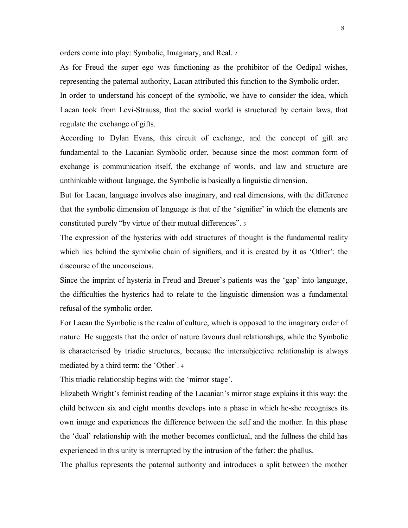orders come into play: Symbolic, Imaginary, and Real. <sup>2</sup>

As for Freud the super ego was functioning as the prohibitor of the Oedipal wishes, representing the paternal authority, Lacan attributed this function to the Symbolic order.

In order to understand his concept of the symbolic, we have to consider the idea, which Lacan took from Levi-Strauss, that the social world is structured by certain laws, that regulate the exchange of gifts.

According to Dylan Evans, this circuit of exchange, and the concept of gift are fundamental to the Lacanian Symbolic order, because since the most common form of exchange is communication itself, the exchange of words, and law and structure are unthinkable without language, the Symbolic is basically a linguistic dimension.

But for Lacan, language involves also imaginary, and real dimensions, with the difference that the symbolic dimension of language is that of the 'signifier' in which the elements are constituted purely "by virtue of their mutual differences". <sup>3</sup>

The expression of the hysterics with odd structures of thought is the fundamental reality which lies behind the symbolic chain of signifiers, and it is created by it as 'Other': the discourse of the unconscious.

Since the imprint of hysteria in Freud and Breuer's patients was the 'gap' into language, the difficulties the hysterics had to relate to the linguistic dimension was a fundamental refusal of the symbolic order.

For Lacan the Symbolic is the realm of culture, which is opposed to the imaginary order of nature. He suggests that the order of nature favours dual relationships, while the Symbolic is characterised by triadic structures, because the intersubjective relationship is always mediated by a third term: the 'Other'. <sup>4</sup>

This triadic relationship begins with the 'mirror stage'.

Elizabeth Wright's feminist reading of the Lacanian's mirror stage explains it this way: the child between six and eight months develops into a phase in which he-she recognises its own image and experiences the difference between the self and the mother. In this phase the 'dual' relationship with the mother becomes conflictual, and the fullness the child has experienced in this unity is interrupted by the intrusion of the father: the phallus.

The phallus represents the paternal authority and introduces a split between the mother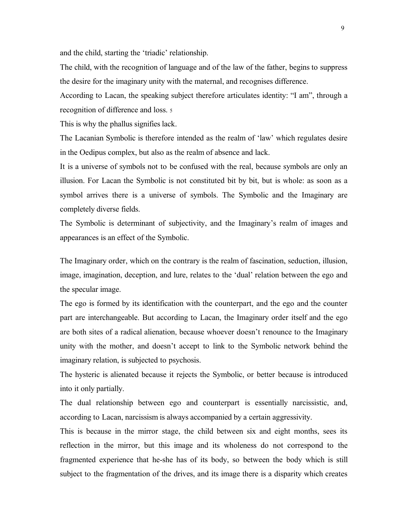and the child, starting the 'triadic' relationship.

The child, with the recognition of language and of the law of the father, begins to suppress the desire for the imaginary unity with the maternal, and recognises difference.

According to Lacan, the speaking subject therefore articulates identity: "I am", through a recognition of difference and loss. <sup>5</sup>

This is why the phallus signifies lack.

The Lacanian Symbolic is therefore intended as the realm of 'law' which regulates desire in the Oedipus complex, but also as the realm of absence and lack.

It is a universe of symbols not to be confused with the real, because symbols are only an illusion. For Lacan the Symbolic is not constituted bit by bit, but is whole: as soon as a symbol arrives there is a universe of symbols. The Symbolic and the Imaginary are completely diverse fields.

The Symbolic is determinant of subjectivity, and the Imaginary's realm of images and appearances is an effect of the Symbolic.

The Imaginary order, which on the contrary is the realm of fascination, seduction, illusion, image, imagination, deception, and lure, relates to the 'dual' relation between the ego and the specular image.

The ego is formed by its identification with the counterpart, and the ego and the counter part are interchangeable. But according to Lacan, the Imaginary order itself and the ego are both sites of a radical alienation, because whoever doesn't renounce to the Imaginary unity with the mother, and doesn't accept to link to the Symbolic network behind the imaginary relation, is subjected to psychosis.

The hysteric is alienated because it rejects the Symbolic, or better because is introduced into it only partially.

The dual relationship between ego and counterpart is essentially narcissistic, and, according to Lacan, narcissism is always accompanied by a certain aggressivity.

This is because in the mirror stage, the child between six and eight months, sees its reflection in the mirror, but this image and its wholeness do not correspond to the fragmented experience that he-she has of its body, so between the body which is still subject to the fragmentation of the drives, and its image there is a disparity which creates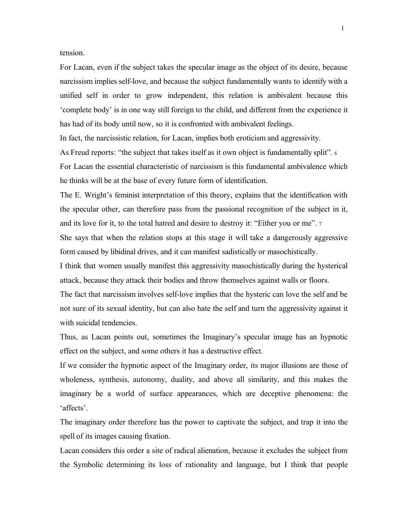tension.

For Lacan, even if the subject takes the specular image as the object of its desire, because narcissism implies self-love, and because the subject fundamentally wants to identify with a unified self in order to grow independent, this relation is ambivalent because this 'complete body' is in one way still foreign to the child, and different from the experience it has had of its body until now, so it is confronted with ambivalent feelings.

In fact, the narcissistic relation, for Lacan, implies both eroticism and aggressivity.

As Freud reports: "the subject that takes itself as it own object is fundamentally split". <sup>6</sup>

For Lacan the essential characteristic of narcissism is this fundamental ambivalence which he thinks will be at the base of every future form of identification.

The E. Wright's feminist interpretation of this theory, explains that the identification with the specular other, can therefore pass from the passional recognition of the subject in it, and its love for it, to the total hatred and desire to destroy it: "Either you or me". <sup>7</sup>

She says that when the relation stops at this stage it will take a dangerously aggressive form caused by libidinal drives, and it can manifest sadistically or masochistically.

I think that women usually manifest this aggressivity masochistically during the hysterical attack, because they attack their bodies and throw themselves against walls or floors.

The fact that narcissism involves self-love implies that the hysteric can love the self and be not sure of its sexual identity, but can also hate the self and turn the aggressivity against it with suicidal tendencies.

Thus, as Lacan points out, sometimes the Imaginary's specular image has an hypnotic effect on the subject, and some others it has a destructive effect.

If we consider the hypnotic aspect of the Imaginary order, its major illusions are those of wholeness, synthesis, autonomy, duality, and above all similarity, and this makes the imaginary be a world of surface appearances, which are deceptive phenomena: the 'affects'.

The imaginary order therefore has the power to captivate the subject, and trap it into the spell of its images causing fixation.

Lacan considers this order a site of radical alienation, because it excludes the subject from the Symbolic determining its loss of rationality and language, but I think that people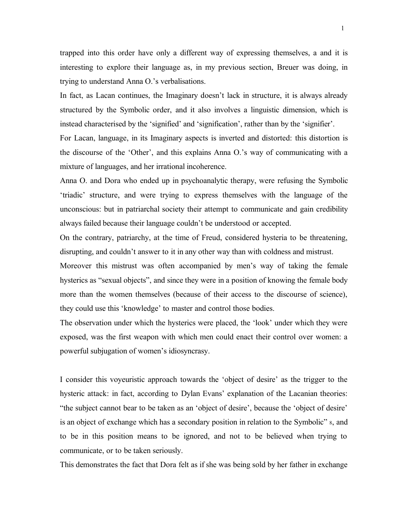trapped into this order have only a different way of expressing themselves, a and it is interesting to explore their language as, in my previous section, Breuer was doing, in trying to understand Anna O.'s verbalisations.

In fact, as Lacan continues, the Imaginary doesn't lack in structure, it is always already structured by the Symbolic order, and it also involves a linguistic dimension, which is instead characterised by the 'signified' and 'signification', rather than by the 'signifier'.

For Lacan, language, in its Imaginary aspects is inverted and distorted: this distortion is the discourse of the 'Other', and this explains Anna O.'s way of communicating with a mixture of languages, and her irrational incoherence.

Anna O. and Dora who ended up in psychoanalytic therapy, were refusing the Symbolic 'triadic' structure, and were trying to express themselves with the language of the unconscious: but in patriarchal society their attempt to communicate and gain credibility always failed because their language couldn't be understood or accepted.

On the contrary, patriarchy, at the time of Freud, considered hysteria to be threatening, disrupting, and couldn't answer to it in any other way than with coldness and mistrust.

Moreover this mistrust was often accompanied by men's way of taking the female hysterics as "sexual objects", and since they were in a position of knowing the female body more than the women themselves (because of their access to the discourse of science), they could use this 'knowledge' to master and control those bodies.

The observation under which the hysterics were placed, the 'look' under which they were exposed, was the first weapon with which men could enact their control over women: a powerful subjugation of women's idiosyncrasy.

I consider this voyeuristic approach towards the 'object of desire' as the trigger to the hysteric attack: in fact, according to Dylan Evans' explanation of the Lacanian theories: "the subject cannot bear to be taken as an 'object of desire', because the 'object of desire' is an object of exchange which has a secondary position in relation to the Symbolic" <sup>8</sup>, and to be in this position means to be ignored, and not to be believed when trying to communicate, or to be taken seriously.

This demonstrates the fact that Dora felt as if she was being sold by her father in exchange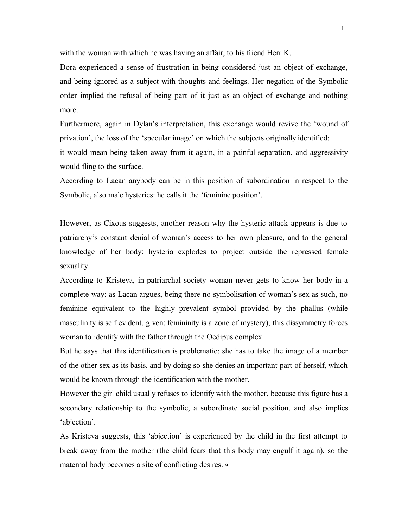with the woman with which he was having an affair, to his friend Herr K.

Dora experienced a sense of frustration in being considered just an object of exchange, and being ignored as a subject with thoughts and feelings. Her negation of the Symbolic order implied the refusal of being part of it just as an object of exchange and nothing more.

Furthermore, again in Dylan's interpretation, this exchange would revive the 'wound of privation', the loss of the 'specular image' on which the subjects originally identified:

it would mean being taken away from it again, in a painful separation, and aggressivity would fling to the surface.

According to Lacan anybody can be in this position of subordination in respect to the Symbolic, also male hysterics: he calls it the 'feminine position'.

However, as Cixous suggests, another reason why the hysteric attack appears is due to patriarchy's constant denial of woman's access to her own pleasure, and to the general knowledge of her body: hysteria explodes to project outside the repressed female sexuality.

According to Kristeva, in patriarchal society woman never gets to know her body in a complete way: as Lacan argues, being there no symbolisation of woman's sex as such, no feminine equivalent to the highly prevalent symbol provided by the phallus (while masculinity is self evident, given; femininity is a zone of mystery), this dissymmetry forces woman to identify with the father through the Oedipus complex.

But he says that this identification is problematic: she has to take the image of a member of the other sex as its basis, and by doing so she denies an important part of herself, which would be known through the identification with the mother.

However the girl child usually refuses to identify with the mother, because this figure has a secondary relationship to the symbolic, a subordinate social position, and also implies 'abjection'.

As Kristeva suggests, this 'abjection' is experienced by the child in the first attempt to break away from the mother (the child fears that this body may engulf it again), so the maternal body becomes a site of conflicting desires. <sup>9</sup>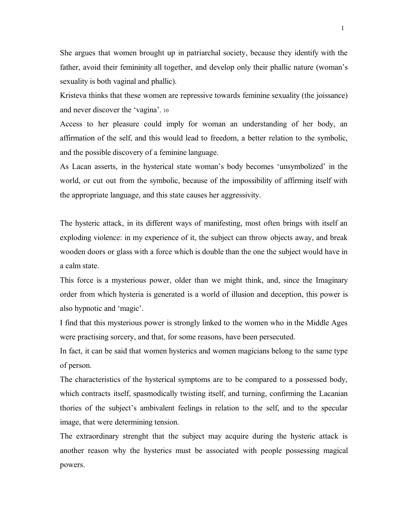She argues that women brought up in patriarchal society, because they identify with the father, avoid their femininity all together, and develop only their phallic nature (woman's sexuality is both vaginal and phallic).

Kristeva thinks that these women are repressive towards feminine sexuality (the joissance) and never discover the 'vagina'. <sup>10</sup>

Access to her pleasure could imply for woman an understanding of her body, an affirmation of the self, and this would lead to freedom, a better relation to the symbolic, and the possible discovery of a feminine language.

As Lacan asserts, in the hysterical state woman's body becomes 'unsymbolized' in the world, or cut out from the symbolic, because of the impossibility of affirming itself with the appropriate language, and this state causes her aggressivity.

The hysteric attack, in its different ways of manifesting, most often brings with itself an exploding violence: in my experience of it, the subject can throw objects away, and break wooden doors or glass with a force which is double than the one the subject would have in a calm state.

This force is a mysterious power, older than we might think, and, since the Imaginary order from which hysteria is generated is a world of illusion and deception, this power is also hypnotic and 'magic'.

I find that this mysterious power is strongly linked to the women who in the Middle Ages were practising sorcery, and that, for some reasons, have been persecuted.

In fact, it can be said that women hysterics and women magicians belong to the same type of person.

The characteristics of the hysterical symptoms are to be compared to a possessed body, which contracts itself, spasmodically twisting itself, and turning, confirming the Lacanian thories of the subject's ambivalent feelings in relation to the self, and to the specular image, that were determining tension.

The extraordinary strenght that the subject may acquire during the hysteric attack is another reason why the hysterics must be associated with people possessing magical powers.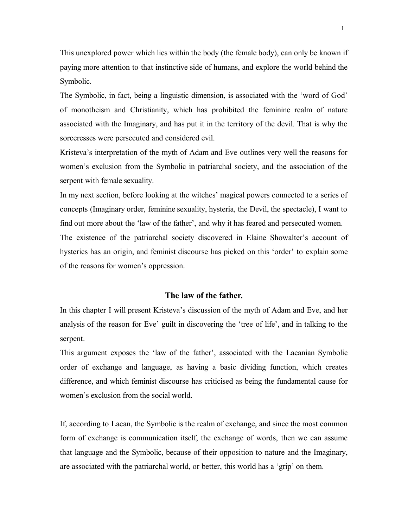This unexplored power which lies within the body (the female body), can only be known if paying more attention to that instinctive side of humans, and explore the world behind the Symbolic.

The Symbolic, in fact, being a linguistic dimension, is associated with the 'word of God' of monotheism and Christianity, which has prohibited the feminine realm of nature associated with the Imaginary, and has put it in the territory of the devil. That is why the sorceresses were persecuted and considered evil.

Kristeva's interpretation of the myth of Adam and Eve outlines very well the reasons for women's exclusion from the Symbolic in patriarchal society, and the association of the serpent with female sexuality.

In my next section, before looking at the witches' magical powers connected to a series of concepts (Imaginary order, feminine sexuality, hysteria, the Devil, the spectacle), I want to find out more about the 'law of the father', and why it has feared and persecuted women. The existence of the patriarchal society discovered in Elaine Showalter's account of hysterics has an origin, and feminist discourse has picked on this 'order' to explain some of the reasons for women's oppression.

## **The law of the father.**

In this chapter I will present Kristeva's discussion of the myth of Adam and Eve, and her analysis of the reason for Eve' guilt in discovering the 'tree of life', and in talking to the serpent.

This argument exposes the 'law of the father', associated with the Lacanian Symbolic order of exchange and language, as having a basic dividing function, which creates difference, and which feminist discourse has criticised as being the fundamental cause for women's exclusion from the social world.

If, according to Lacan, the Symbolic is the realm of exchange, and since the most common form of exchange is communication itself, the exchange of words, then we can assume that language and the Symbolic, because of their opposition to nature and the Imaginary, are associated with the patriarchal world, or better, this world has a 'grip' on them.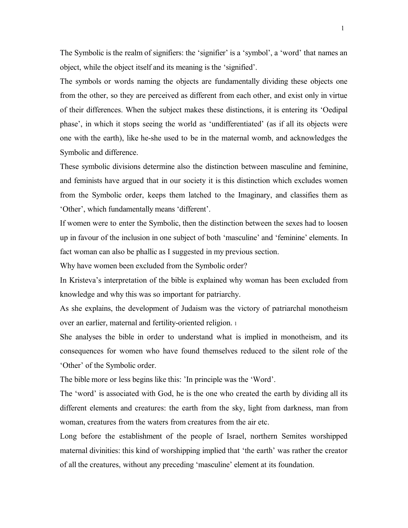The Symbolic is the realm of signifiers: the 'signifier' is a 'symbol', a 'word' that names an object, while the object itself and its meaning is the 'signified'.

The symbols or words naming the objects are fundamentally dividing these objects one from the other, so they are perceived as different from each other, and exist only in virtue of their differences. When the subject makes these distinctions, it is entering its 'Oedipal phase', in which it stops seeing the world as 'undifferentiated' (as if all its objects were one with the earth), like he-she used to be in the maternal womb, and acknowledges the Symbolic and difference.

These symbolic divisions determine also the distinction between masculine and feminine, and feminists have argued that in our society it is this distinction which excludes women from the Symbolic order, keeps them latched to the Imaginary, and classifies them as 'Other', which fundamentally means 'different'.

If women were to enter the Symbolic, then the distinction between the sexes had to loosen up in favour of the inclusion in one subject of both 'masculine' and 'feminine' elements. In fact woman can also be phallic as I suggested in my previous section.

Why have women been excluded from the Symbolic order?

In Kristeva's interpretation of the bible is explained why woman has been excluded from knowledge and why this was so important for patriarchy.

As she explains, the development of Judaism was the victory of patriarchal monotheism over an earlier, maternal and fertility-oriented religion. <sup>1</sup>

She analyses the bible in order to understand what is implied in monotheism, and its consequences for women who have found themselves reduced to the silent role of the 'Other' of the Symbolic order.

The bible more or less begins like this: 'In principle was the 'Word'.

The 'word' is associated with God, he is the one who created the earth by dividing all its different elements and creatures: the earth from the sky, light from darkness, man from woman, creatures from the waters from creatures from the air etc.

Long before the establishment of the people of Israel, northern Semites worshipped maternal divinities: this kind of worshipping implied that 'the earth' was rather the creator of all the creatures, without any preceding 'masculine' element at its foundation.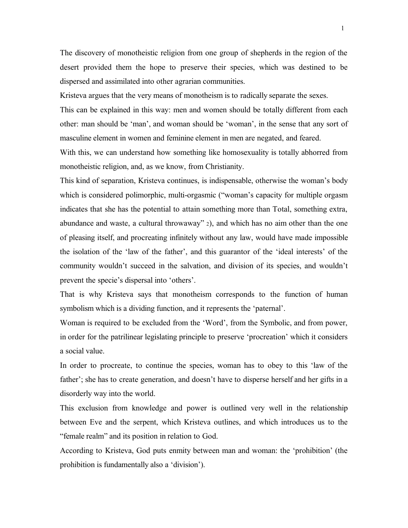The discovery of monotheistic religion from one group of shepherds in the region of the desert provided them the hope to preserve their species, which was destined to be dispersed and assimilated into other agrarian communities.

Kristeva argues that the very means of monotheism is to radically separate the sexes.

This can be explained in this way: men and women should be totally different from each other: man should be 'man', and woman should be 'woman', in the sense that any sort of masculine element in women and feminine element in men are negated, and feared.

With this, we can understand how something like homosexuality is totally abhorred from monotheistic religion, and, as we know, from Christianity.

This kind of separation, Kristeva continues, is indispensable, otherwise the woman's body which is considered polimorphic, multi-orgasmic ("woman's capacity for multiple orgasm indicates that she has the potential to attain something more than Total, something extra, abundance and waste, a cultural throwaway" <sup>2</sup>), and which has no aim other than the one of pleasing itself, and procreating infinitely without any law, would have made impossible the isolation of the 'law of the father', and this guarantor of the 'ideal interests' of the community wouldn't succeed in the salvation, and division of its species, and wouldn't prevent the specie's dispersal into 'others'.

That is why Kristeva says that monotheism corresponds to the function of human symbolism which is a dividing function, and it represents the 'paternal'.

Woman is required to be excluded from the 'Word', from the Symbolic, and from power, in order for the patrilinear legislating principle to preserve 'procreation' which it considers a social value.

In order to procreate, to continue the species, woman has to obey to this 'law of the father'; she has to create generation, and doesn't have to disperse herself and her gifts in a disorderly way into the world.

This exclusion from knowledge and power is outlined very well in the relationship between Eve and the serpent, which Kristeva outlines, and which introduces us to the "female realm" and its position in relation to God.

According to Kristeva, God puts enmity between man and woman: the 'prohibition' (the prohibition is fundamentally also a 'division').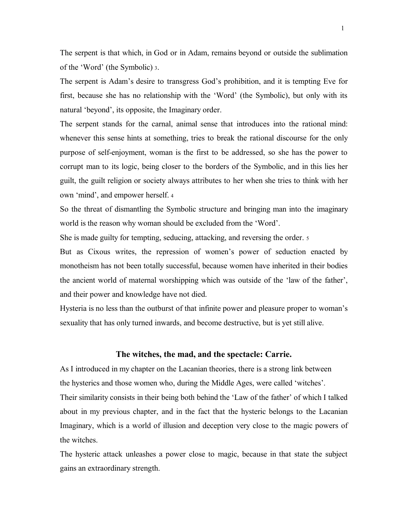The serpent is that which, in God or in Adam, remains beyond or outside the sublimation of the 'Word' (the Symbolic) <sup>3</sup>.

The serpent is Adam's desire to transgress God's prohibition, and it is tempting Eve for first, because she has no relationship with the 'Word' (the Symbolic), but only with its natural 'beyond', its opposite, the Imaginary order.

The serpent stands for the carnal, animal sense that introduces into the rational mind: whenever this sense hints at something, tries to break the rational discourse for the only purpose of self-enjoyment, woman is the first to be addressed, so she has the power to corrupt man to its logic, being closer to the borders of the Symbolic, and in this lies her guilt, the guilt religion or society always attributes to her when she tries to think with her own 'mind', and empower herself. <sup>4</sup>

So the threat of dismantling the Symbolic structure and bringing man into the imaginary world is the reason why woman should be excluded from the 'Word'.

She is made guilty for tempting, seducing, attacking, and reversing the order. <sup>5</sup>

But as Cixous writes, the repression of women's power of seduction enacted by monotheism has not been totally successful, because women have inherited in their bodies the ancient world of maternal worshipping which was outside of the 'law of the father', and their power and knowledge have not died.

Hysteria is no less than the outburst of that infinite power and pleasure proper to woman's sexuality that has only turned inwards, and become destructive, but is yet still alive.

#### **The witches, the mad, and the spectacle: Carrie.**

As I introduced in my chapter on the Lacanian theories, there is a strong link between the hysterics and those women who, during the Middle Ages, were called 'witches'. Their similarity consists in their being both behind the 'Law of the father' of which I talked about in my previous chapter, and in the fact that the hysteric belongs to the Lacanian Imaginary, which is a world of illusion and deception very close to the magic powers of the witches.

The hysteric attack unleashes a power close to magic, because in that state the subject gains an extraordinary strength.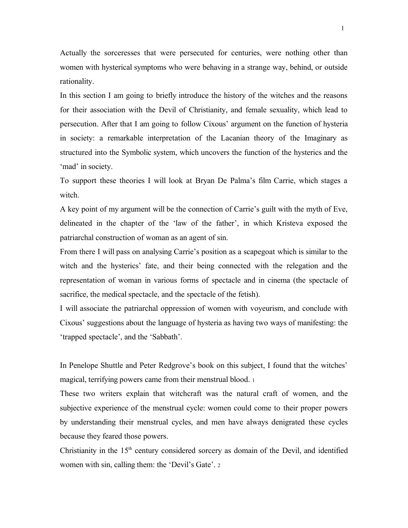Actually the sorceresses that were persecuted for centuries, were nothing other than women with hysterical symptoms who were behaving in a strange way, behind, or outside rationality.

In this section I am going to briefly introduce the history of the witches and the reasons for their association with the Devil of Christianity, and female sexuality, which lead to persecution. After that I am going to follow Cixous' argument on the function of hysteria in society: a remarkable interpretation of the Lacanian theory of the Imaginary as structured into the Symbolic system, which uncovers the function of the hysterics and the 'mad' in society.

To support these theories I will look at Bryan De Palma's film Carrie, which stages a witch.

A key point of my argument will be the connection of Carrie's guilt with the myth of Eve, delineated in the chapter of the 'law of the father', in which Kristeva exposed the patriarchal construction of woman as an agent of sin.

From there I will pass on analysing Carrie's position as a scapegoat which is similar to the witch and the hysterics' fate, and their being connected with the relegation and the representation of woman in various forms of spectacle and in cinema (the spectacle of sacrifice, the medical spectacle, and the spectacle of the fetish).

I will associate the patriarchal oppression of women with voyeurism, and conclude with Cixous' suggestions about the language of hysteria as having two ways of manifesting: the 'trapped spectacle', and the 'Sabbath'.

In Penelope Shuttle and Peter Redgrove's book on this subject, I found that the witches' magical, terrifying powers came from their menstrual blood. <sup>1</sup>

These two writers explain that witchcraft was the natural craft of women, and the subjective experience of the menstrual cycle: women could come to their proper powers by understanding their menstrual cycles, and men have always denigrated these cycles because they feared those powers.

Christianity in the  $15<sup>th</sup>$  century considered sorcery as domain of the Devil, and identified women with sin, calling them: the 'Devil's Gate'. <sup>2</sup>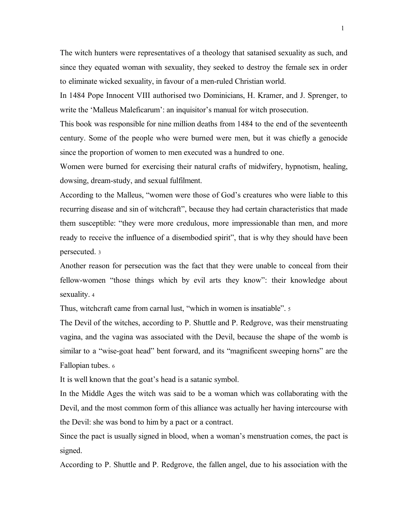The witch hunters were representatives of a theology that satanised sexuality as such, and since they equated woman with sexuality, they seeked to destroy the female sex in order to eliminate wicked sexuality, in favour of a men-ruled Christian world.

In 1484 Pope Innocent VIII authorised two Dominicians, H. Kramer, and J. Sprenger, to write the 'Malleus Maleficarum': an inquisitor's manual for witch prosecution.

This book was responsible for nine million deaths from 1484 to the end of the seventeenth century. Some of the people who were burned were men, but it was chiefly a genocide since the proportion of women to men executed was a hundred to one.

Women were burned for exercising their natural crafts of midwifery, hypnotism, healing, dowsing, dream-study, and sexual fulfilment.

According to the Malleus, "women were those of God's creatures who were liable to this recurring disease and sin of witchcraft", because they had certain characteristics that made them susceptible: "they were more credulous, more impressionable than men, and more ready to receive the influence of a disembodied spirit", that is why they should have been persecuted. <sup>3</sup>

Another reason for persecution was the fact that they were unable to conceal from their fellow-women "those things which by evil arts they know": their knowledge about sexuality. <sup>4</sup>

Thus, witchcraft came from carnal lust, "which in women is insatiable". 5

The Devil of the witches, according to P. Shuttle and P. Redgrove, was their menstruating vagina, and the vagina was associated with the Devil, because the shape of the womb is similar to a "wise-goat head" bent forward, and its "magnificent sweeping horns" are the Fallopian tubes. <sup>6</sup>

It is well known that the goat's head is a satanic symbol.

In the Middle Ages the witch was said to be a woman which was collaborating with the Devil, and the most common form of this alliance was actually her having intercourse with the Devil: she was bond to him by a pact or a contract.

Since the pact is usually signed in blood, when a woman's menstruation comes, the pact is signed.

According to P. Shuttle and P. Redgrove, the fallen angel, due to his association with the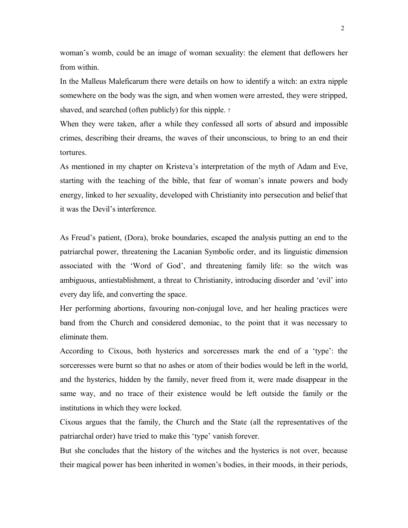woman's womb, could be an image of woman sexuality: the element that deflowers her from within.

In the Malleus Maleficarum there were details on how to identify a witch: an extra nipple somewhere on the body was the sign, and when women were arrested, they were stripped, shaved, and searched (often publicly) for this nipple. 7

When they were taken, after a while they confessed all sorts of absurd and impossible crimes, describing their dreams, the waves of their unconscious, to bring to an end their tortures.

As mentioned in my chapter on Kristeva's interpretation of the myth of Adam and Eve, starting with the teaching of the bible, that fear of woman's innate powers and body energy, linked to her sexuality, developed with Christianity into persecution and belief that it was the Devil's interference.

As Freud's patient, (Dora), broke boundaries, escaped the analysis putting an end to the patriarchal power, threatening the Lacanian Symbolic order, and its linguistic dimension associated with the 'Word of God', and threatening family life: so the witch was ambiguous, antiestablishment, a threat to Christianity, introducing disorder and 'evil' into every day life, and converting the space.

Her performing abortions, favouring non-conjugal love, and her healing practices were band from the Church and considered demoniac, to the point that it was necessary to eliminate them.

According to Cixous, both hysterics and sorceresses mark the end of a 'type': the sorceresses were burnt so that no ashes or atom of their bodies would be left in the world, and the hysterics, hidden by the family, never freed from it, were made disappear in the same way, and no trace of their existence would be left outside the family or the institutions in which they were locked.

Cixous argues that the family, the Church and the State (all the representatives of the patriarchal order) have tried to make this 'type' vanish forever.

But she concludes that the history of the witches and the hysterics is not over, because their magical power has been inherited in women's bodies, in their moods, in their periods,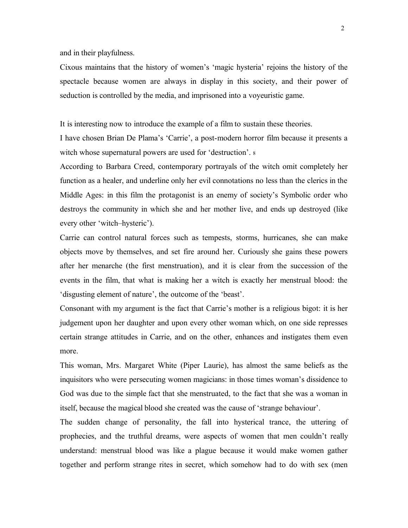and in their playfulness.

Cixous maintains that the history of women's 'magic hysteria' rejoins the history of the spectacle because women are always in display in this society, and their power of seduction is controlled by the media, and imprisoned into a voyeuristic game.

It is interesting now to introduce the example of a film to sustain these theories.

I have chosen Brian De Plama's 'Carrie', a post-modern horror film because it presents a witch whose supernatural powers are used for 'destruction'. <sup>8</sup>

According to Barbara Creed, contemporary portrayals of the witch omit completely her function as a healer, and underline only her evil connotations no less than the clerics in the Middle Ages: in this film the protagonist is an enemy of society's Symbolic order who destroys the community in which she and her mother live, and ends up destroyed (like every other 'witch–hysteric').

Carrie can control natural forces such as tempests, storms, hurricanes, she can make objects move by themselves, and set fire around her. Curiously she gains these powers after her menarche (the first menstruation), and it is clear from the succession of the events in the film, that what is making her a witch is exactly her menstrual blood: the 'disgusting element of nature', the outcome of the 'beast'.

Consonant with my argument is the fact that Carrie's mother is a religious bigot: it is her judgement upon her daughter and upon every other woman which, on one side represses certain strange attitudes in Carrie, and on the other, enhances and instigates them even more.

This woman, Mrs. Margaret White (Piper Laurie), has almost the same beliefs as the inquisitors who were persecuting women magicians: in those times woman's dissidence to God was due to the simple fact that she menstruated, to the fact that she was a woman in itself, because the magical blood she created was the cause of 'strange behaviour'.

The sudden change of personality, the fall into hysterical trance, the uttering of prophecies, and the truthful dreams, were aspects of women that men couldn't really understand: menstrual blood was like a plague because it would make women gather together and perform strange rites in secret, which somehow had to do with sex (men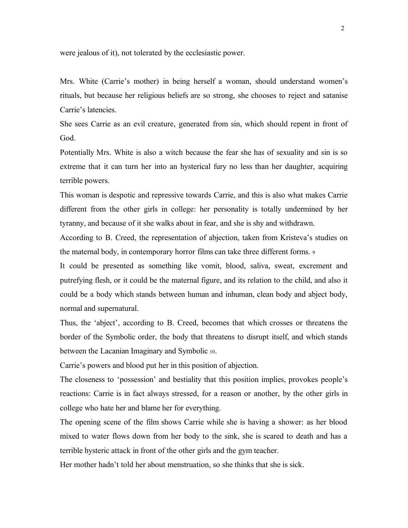were jealous of it), not tolerated by the ecclesiastic power.

Mrs. White (Carrie's mother) in being herself a woman, should understand women's rituals, but because her religious beliefs are so strong, she chooses to reject and satanise Carrie's latencies.

She sees Carrie as an evil creature, generated from sin, which should repent in front of God.

Potentially Mrs. White is also a witch because the fear she has of sexuality and sin is so extreme that it can turn her into an hysterical fury no less than her daughter, acquiring terrible powers.

This woman is despotic and repressive towards Carrie, and this is also what makes Carrie different from the other girls in college: her personality is totally undermined by her tyranny, and because of it she walks about in fear, and she is shy and withdrawn.

According to B. Creed, the representation of abjection, taken from Kristeva's studies on the maternal body, in contemporary horror films can take three different forms. <sup>9</sup>

It could be presented as something like vomit, blood, saliva, sweat, excrement and putrefying flesh, or it could be the maternal figure, and its relation to the child, and also it could be a body which stands between human and inhuman, clean body and abject body, normal and supernatural.

Thus, the 'abject', according to B. Creed, becomes that which crosses or threatens the border of the Symbolic order, the body that threatens to disrupt itself, and which stands between the Lacanian Imaginary and Symbolic <sup>10</sup>.

Carrie's powers and blood put her in this position of abjection.

The closeness to 'possession' and bestiality that this position implies, provokes people's reactions: Carrie is in fact always stressed, for a reason or another, by the other girls in college who hate her and blame her for everything.

The opening scene of the film shows Carrie while she is having a shower: as her blood mixed to water flows down from her body to the sink, she is scared to death and has a terrible hysteric attack in front of the other girls and the gym teacher.

Her mother hadn't told her about menstruation, so she thinks that she is sick.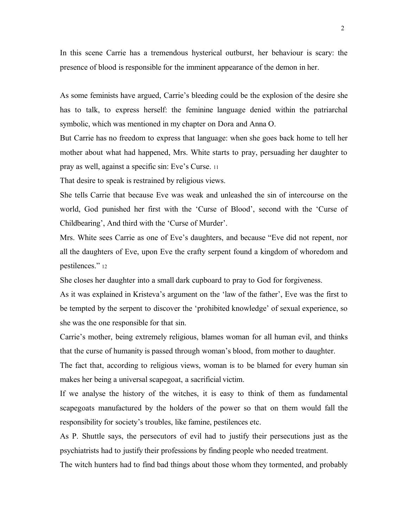In this scene Carrie has a tremendous hysterical outburst, her behaviour is scary: the presence of blood is responsible for the imminent appearance of the demon in her.

As some feminists have argued, Carrie's bleeding could be the explosion of the desire she has to talk, to express herself: the feminine language denied within the patriarchal symbolic, which was mentioned in my chapter on Dora and Anna O.

But Carrie has no freedom to express that language: when she goes back home to tell her mother about what had happened, Mrs. White starts to pray, persuading her daughter to pray as well, against a specific sin: Eve's Curse. <sup>11</sup>

That desire to speak is restrained by religious views.

She tells Carrie that because Eve was weak and unleashed the sin of intercourse on the world, God punished her first with the 'Curse of Blood', second with the 'Curse of Childbearing', And third with the 'Curse of Murder'.

Mrs. White sees Carrie as one of Eve's daughters, and because "Eve did not repent, nor all the daughters of Eve, upon Eve the crafty serpent found a kingdom of whoredom and pestilences." <sup>12</sup>

She closes her daughter into a small dark cupboard to pray to God for forgiveness.

As it was explained in Kristeva's argument on the 'law of the father', Eve was the first to be tempted by the serpent to discover the 'prohibited knowledge' of sexual experience, so she was the one responsible for that sin.

Carrie's mother, being extremely religious, blames woman for all human evil, and thinks that the curse of humanity is passed through woman's blood, from mother to daughter.

The fact that, according to religious views, woman is to be blamed for every human sin makes her being a universal scapegoat, a sacrificial victim.

If we analyse the history of the witches, it is easy to think of them as fundamental scapegoats manufactured by the holders of the power so that on them would fall the responsibility for society's troubles, like famine, pestilences etc.

As P. Shuttle says, the persecutors of evil had to justify their persecutions just as the psychiatrists had to justify their professions by finding people who needed treatment.

The witch hunters had to find bad things about those whom they tormented, and probably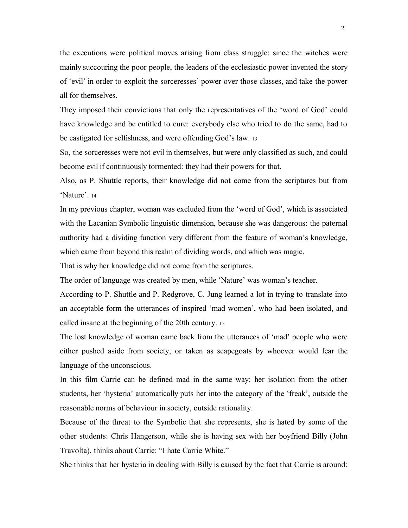the executions were political moves arising from class struggle: since the witches were mainly succouring the poor people, the leaders of the ecclesiastic power invented the story of 'evil' in order to exploit the sorceresses' power over those classes, and take the power all for themselves.

They imposed their convictions that only the representatives of the 'word of God' could have knowledge and be entitled to cure: everybody else who tried to do the same, had to be castigated for selfishness, and were offending God's law. <sup>13</sup>

So, the sorceresses were not evil in themselves, but were only classified as such, and could become evil if continuously tormented: they had their powers for that.

Also, as P. Shuttle reports, their knowledge did not come from the scriptures but from 'Nature'. <sup>14</sup>

In my previous chapter, woman was excluded from the 'word of God', which is associated with the Lacanian Symbolic linguistic dimension, because she was dangerous: the paternal authority had a dividing function very different from the feature of woman's knowledge, which came from beyond this realm of dividing words, and which was magic.

That is why her knowledge did not come from the scriptures.

The order of language was created by men, while 'Nature' was woman's teacher.

According to P. Shuttle and P. Redgrove, C. Jung learned a lot in trying to translate into an acceptable form the utterances of inspired 'mad women', who had been isolated, and called insane at the beginning of the 20th century. <sup>15</sup>

The lost knowledge of woman came back from the utterances of 'mad' people who were either pushed aside from society, or taken as scapegoats by whoever would fear the language of the unconscious.

In this film Carrie can be defined mad in the same way: her isolation from the other students, her 'hysteria' automatically puts her into the category of the 'freak', outside the reasonable norms of behaviour in society, outside rationality.

Because of the threat to the Symbolic that she represents, she is hated by some of the other students: Chris Hangerson, while she is having sex with her boyfriend Billy (John Travolta), thinks about Carrie: "I hate Carrie White."

She thinks that her hysteria in dealing with Billy is caused by the fact that Carrie is around: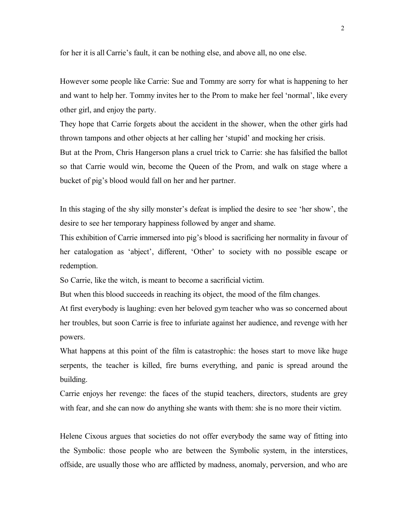for her it is all Carrie's fault, it can be nothing else, and above all, no one else.

However some people like Carrie: Sue and Tommy are sorry for what is happening to her and want to help her. Tommy invites her to the Prom to make her feel 'normal', like every other girl, and enjoy the party.

They hope that Carrie forgets about the accident in the shower, when the other girls had thrown tampons and other objects at her calling her 'stupid' and mocking her crisis.

But at the Prom, Chris Hangerson plans a cruel trick to Carrie: she has falsified the ballot so that Carrie would win, become the Queen of the Prom, and walk on stage where a bucket of pig's blood would fall on her and her partner.

In this staging of the shy silly monster's defeat is implied the desire to see 'her show', the desire to see her temporary happiness followed by anger and shame.

This exhibition of Carrie immersed into pig's blood is sacrificing her normality in favour of her catalogation as 'abject', different, 'Other' to society with no possible escape or redemption.

So Carrie, like the witch, is meant to become a sacrificial victim.

But when this blood succeeds in reaching its object, the mood of the film changes.

At first everybody is laughing: even her beloved gym teacher who was so concerned about her troubles, but soon Carrie is free to infuriate against her audience, and revenge with her powers.

What happens at this point of the film is catastrophic: the hoses start to move like huge serpents, the teacher is killed, fire burns everything, and panic is spread around the building.

Carrie enjoys her revenge: the faces of the stupid teachers, directors, students are grey with fear, and she can now do anything she wants with them: she is no more their victim.

Helene Cixous argues that societies do not offer everybody the same way of fitting into the Symbolic: those people who are between the Symbolic system, in the interstices, offside, are usually those who are afflicted by madness, anomaly, perversion, and who are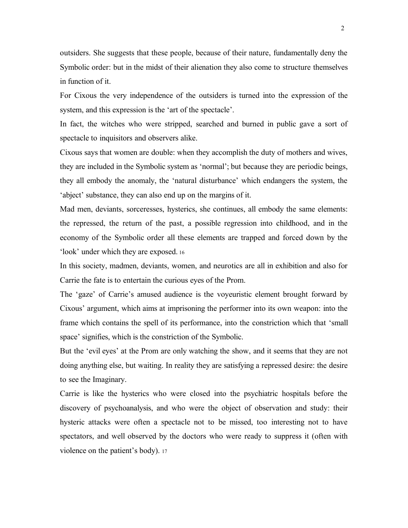outsiders. She suggests that these people, because of their nature, fundamentally deny the Symbolic order: but in the midst of their alienation they also come to structure themselves in function of it.

For Cixous the very independence of the outsiders is turned into the expression of the system, and this expression is the 'art of the spectacle'.

In fact, the witches who were stripped, searched and burned in public gave a sort of spectacle to inquisitors and observers alike.

Cixous says that women are double: when they accomplish the duty of mothers and wives, they are included in the Symbolic system as 'normal'; but because they are periodic beings, they all embody the anomaly, the 'natural disturbance' which endangers the system, the 'abject' substance, they can also end up on the margins of it.

Mad men, deviants, sorceresses, hysterics, she continues, all embody the same elements: the repressed, the return of the past, a possible regression into childhood, and in the economy of the Symbolic order all these elements are trapped and forced down by the 'look' under which they are exposed. <sup>16</sup>

In this society, madmen, deviants, women, and neurotics are all in exhibition and also for Carrie the fate is to entertain the curious eyes of the Prom.

The 'gaze' of Carrie's amused audience is the voyeuristic element brought forward by Cixous' argument, which aims at imprisoning the performer into its own weapon: into the frame which contains the spell of its performance, into the constriction which that 'small space' signifies, which is the constriction of the Symbolic.

But the 'evil eyes' at the Prom are only watching the show, and it seems that they are not doing anything else, but waiting. In reality they are satisfying a repressed desire: the desire to see the Imaginary.

Carrie is like the hysterics who were closed into the psychiatric hospitals before the discovery of psychoanalysis, and who were the object of observation and study: their hysteric attacks were often a spectacle not to be missed, too interesting not to have spectators, and well observed by the doctors who were ready to suppress it (often with violence on the patient's body). <sup>17</sup>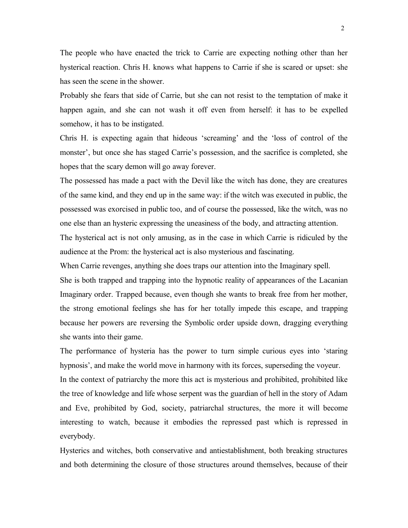The people who have enacted the trick to Carrie are expecting nothing other than her hysterical reaction. Chris H. knows what happens to Carrie if she is scared or upset: she has seen the scene in the shower.

Probably she fears that side of Carrie, but she can not resist to the temptation of make it happen again, and she can not wash it off even from herself: it has to be expelled somehow, it has to be instigated.

Chris H. is expecting again that hideous 'screaming' and the 'loss of control of the monster', but once she has staged Carrie's possession, and the sacrifice is completed, she hopes that the scary demon will go away forever.

The possessed has made a pact with the Devil like the witch has done, they are creatures of the same kind, and they end up in the same way: if the witch was executed in public, the possessed was exorcised in public too, and of course the possessed, like the witch, was no one else than an hysteric expressing the uneasiness of the body, and attracting attention.

The hysterical act is not only amusing, as in the case in which Carrie is ridiculed by the audience at the Prom: the hysterical act is also mysterious and fascinating.

When Carrie revenges, anything she does traps our attention into the Imaginary spell.

She is both trapped and trapping into the hypnotic reality of appearances of the Lacanian Imaginary order. Trapped because, even though she wants to break free from her mother, the strong emotional feelings she has for her totally impede this escape, and trapping because her powers are reversing the Symbolic order upside down, dragging everything she wants into their game.

The performance of hysteria has the power to turn simple curious eyes into 'staring hypnosis', and make the world move in harmony with its forces, superseding the voyeur. In the context of patriarchy the more this act is mysterious and prohibited, prohibited like the tree of knowledge and life whose serpent was the guardian of hell in the story of Adam and Eve, prohibited by God, society, patriarchal structures, the more it will become interesting to watch, because it embodies the repressed past which is repressed in everybody.

Hysterics and witches, both conservative and antiestablishment, both breaking structures and both determining the closure of those structures around themselves, because of their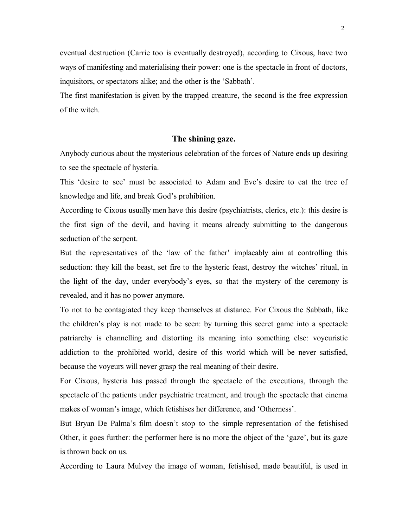eventual destruction (Carrie too is eventually destroyed), according to Cixous, have two ways of manifesting and materialising their power: one is the spectacle in front of doctors, inquisitors, or spectators alike; and the other is the 'Sabbath'.

The first manifestation is given by the trapped creature, the second is the free expression of the witch.

## **The shining gaze.**

Anybody curious about the mysterious celebration of the forces of Nature ends up desiring to see the spectacle of hysteria.

This 'desire to see' must be associated to Adam and Eve's desire to eat the tree of knowledge and life, and break God's prohibition.

According to Cixous usually men have this desire (psychiatrists, clerics, etc.): this desire is the first sign of the devil, and having it means already submitting to the dangerous seduction of the serpent.

But the representatives of the 'law of the father' implacably aim at controlling this seduction: they kill the beast, set fire to the hysteric feast, destroy the witches' ritual, in the light of the day, under everybody's eyes, so that the mystery of the ceremony is revealed, and it has no power anymore.

To not to be contagiated they keep themselves at distance. For Cixous the Sabbath, like the children's play is not made to be seen: by turning this secret game into a spectacle patriarchy is channelling and distorting its meaning into something else: voyeuristic addiction to the prohibited world, desire of this world which will be never satisfied, because the voyeurs will never grasp the real meaning of their desire.

For Cixous, hysteria has passed through the spectacle of the executions, through the spectacle of the patients under psychiatric treatment, and trough the spectacle that cinema makes of woman's image, which fetishises her difference, and 'Otherness'.

But Bryan De Palma's film doesn't stop to the simple representation of the fetishised Other, it goes further: the performer here is no more the object of the 'gaze', but its gaze is thrown back on us.

According to Laura Mulvey the image of woman, fetishised, made beautiful, is used in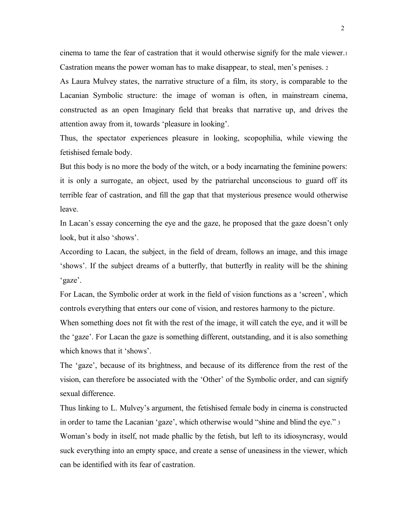cinema to tame the fear of castration that it would otherwise signify for the male viewer.<sup>1</sup> Castration means the power woman has to make disappear, to steal, men's penises. <sup>2</sup>

As Laura Mulvey states, the narrative structure of a film, its story, is comparable to the Lacanian Symbolic structure: the image of woman is often, in mainstream cinema, constructed as an open Imaginary field that breaks that narrative up, and drives the attention away from it, towards 'pleasure in looking'.

Thus, the spectator experiences pleasure in looking, scopophilia, while viewing the fetishised female body.

But this body is no more the body of the witch, or a body incarnating the feminine powers: it is only a surrogate, an object, used by the patriarchal unconscious to guard off its terrible fear of castration, and fill the gap that that mysterious presence would otherwise leave.

In Lacan's essay concerning the eye and the gaze, he proposed that the gaze doesn't only look, but it also 'shows'.

According to Lacan, the subject, in the field of dream, follows an image, and this image 'shows'. If the subject dreams of a butterfly, that butterfly in reality will be the shining 'gaze'.

For Lacan, the Symbolic order at work in the field of vision functions as a 'screen', which controls everything that enters our cone of vision, and restores harmony to the picture.

When something does not fit with the rest of the image, it will catch the eye, and it will be the 'gaze'. For Lacan the gaze is something different, outstanding, and it is also something which knows that it 'shows'.

The 'gaze', because of its brightness, and because of its difference from the rest of the vision, can therefore be associated with the 'Other' of the Symbolic order, and can signify sexual difference.

Thus linking to L. Mulvey's argument, the fetishised female body in cinema is constructed in order to tame the Lacanian 'gaze', which otherwise would "shine and blind the eye." <sup>3</sup> Woman's body in itself, not made phallic by the fetish, but left to its idiosyncrasy, would suck everything into an empty space, and create a sense of uneasiness in the viewer, which can be identified with its fear of castration.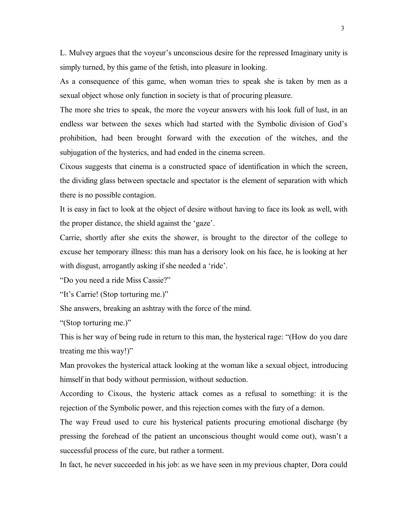L. Mulvey argues that the voyeur's unconscious desire for the repressed Imaginary unity is simply turned, by this game of the fetish, into pleasure in looking.

As a consequence of this game, when woman tries to speak she is taken by men as a sexual object whose only function in society is that of procuring pleasure.

The more she tries to speak, the more the voyeur answers with his look full of lust, in an endless war between the sexes which had started with the Symbolic division of God's prohibition, had been brought forward with the execution of the witches, and the subjugation of the hysterics, and had ended in the cinema screen.

Cixous suggests that cinema is a constructed space of identification in which the screen, the dividing glass between spectacle and spectator is the element of separation with which there is no possible contagion.

It is easy in fact to look at the object of desire without having to face its look as well, with the proper distance, the shield against the 'gaze'.

Carrie, shortly after she exits the shower, is brought to the director of the college to excuse her temporary illness: this man has a derisory look on his face, he is looking at her with disgust, arrogantly asking if she needed a 'ride'.

"Do you need a ride Miss Cassie?"

"It's Carrie! (Stop torturing me.)"

She answers, breaking an ashtray with the force of the mind.

"(Stop torturing me.)"

This is her way of being rude in return to this man, the hysterical rage: "(How do you dare treating me this way!)"

Man provokes the hysterical attack looking at the woman like a sexual object, introducing himself in that body without permission, without seduction.

According to Cixous, the hysteric attack comes as a refusal to something: it is the rejection of the Symbolic power, and this rejection comes with the fury of a demon.

The way Freud used to cure his hysterical patients procuring emotional discharge (by pressing the forehead of the patient an unconscious thought would come out), wasn't a successful process of the cure, but rather a torment.

In fact, he never succeeded in his job: as we have seen in my previous chapter, Dora could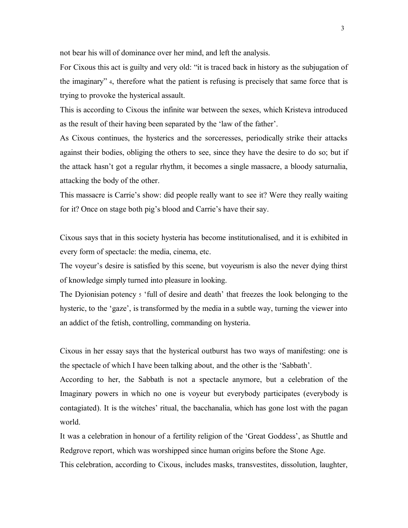not bear his will of dominance over her mind, and left the analysis.

For Cixous this act is guilty and very old: "it is traced back in history as the subjugation of the imaginary" <sup>4</sup>, therefore what the patient is refusing is precisely that same force that is trying to provoke the hysterical assault.

This is according to Cixous the infinite war between the sexes, which Kristeva introduced as the result of their having been separated by the 'law of the father'.

As Cixous continues, the hysterics and the sorceresses, periodically strike their attacks against their bodies, obliging the others to see, since they have the desire to do so; but if the attack hasn't got a regular rhythm, it becomes a single massacre, a bloody saturnalia, attacking the body of the other.

This massacre is Carrie's show: did people really want to see it? Were they really waiting for it? Once on stage both pig's blood and Carrie's have their say.

Cixous says that in this society hysteria has become institutionalised, and it is exhibited in every form of spectacle: the media, cinema, etc.

The voyeur's desire is satisfied by this scene, but voyeurism is also the never dying thirst of knowledge simply turned into pleasure in looking.

The Dyionisian potency <sup>5</sup> 'full of desire and death' that freezes the look belonging to the hysteric, to the 'gaze', is transformed by the media in a subtle way, turning the viewer into an addict of the fetish, controlling, commanding on hysteria.

Cixous in her essay says that the hysterical outburst has two ways of manifesting: one is the spectacle of which I have been talking about, and the other is the 'Sabbath'.

According to her, the Sabbath is not a spectacle anymore, but a celebration of the Imaginary powers in which no one is voyeur but everybody participates (everybody is contagiated). It is the witches' ritual, the bacchanalia, which has gone lost with the pagan world.

It was a celebration in honour of a fertility religion of the 'Great Goddess', as Shuttle and Redgrove report, which was worshipped since human origins before the Stone Age.

This celebration, according to Cixous, includes masks, transvestites, dissolution, laughter,